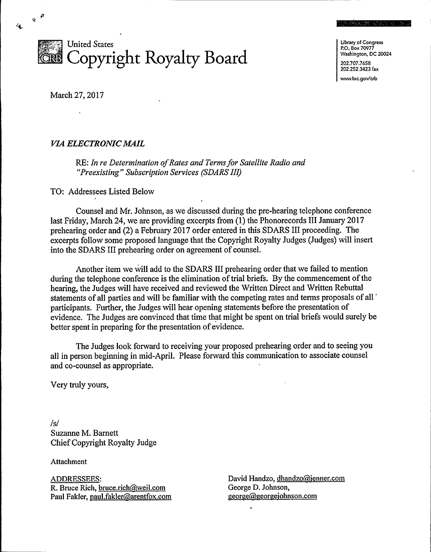

Library of Congress P.O. Box 70977 Washington, DC 20024 202.707.7658 202.252.3423 fax

in weather and

www.loc.gov/crb

March 27, 2017

 $\gamma$ <sup>51</sup>

## VIA ELECTRONIC MAIL

RE: In re Determination of Rates and Terms for Satellite Radio and "Preexisting" Subscription Services (SDARS III)

TO: Addressees Listed Below

Counsel and Mr. Johnson, as we discussed during the pre-hearing telephone conference last Friday, March 24, we are providing excerpts from (1) the Phonorecords III January 2017 prehearing order and (2) a February 2017 order entered in this SDARS III proceeding. The excerpts follow some proposed language that the Copyright Royalty Judges (Judges) will insert into the SDARS III prehearing order on agreement of counsel.

Another item we will add to the SDARS III prehearing order that we failed to mention during the telephone conference is the elimination of trial briefs. By the commencement of the hearing, the Judges will have received and reviewed the Written Direct and Written Rebuttal statements of all parties and will be familiar with the competing rates and terms proposals of all " participants. Further, the Judges will hear opening statements before the presentation of evidence. The Judges are convinced that time that might be spent on trial briefs would surely be better spent in preparing for the presentation of evidence.

The Judges look forward to receiving your proposed prehearing order and to seeing you all in person beginning in mid-April. Please forward this communication to associate counsel and co-counsel as appropriate.

Very truly yours,

/s/ Suzanne M. Barnett ChiefCopyright Royalty Judge

Attachment

ADDRESSEES:<br>R. Bruce Rich, bruce.rich@weil.com Paul Fakler, paul.fakler@arentfox.com David Handzo, dhandzo@jenner.com George D. Johnson, george@georgejohnson.com